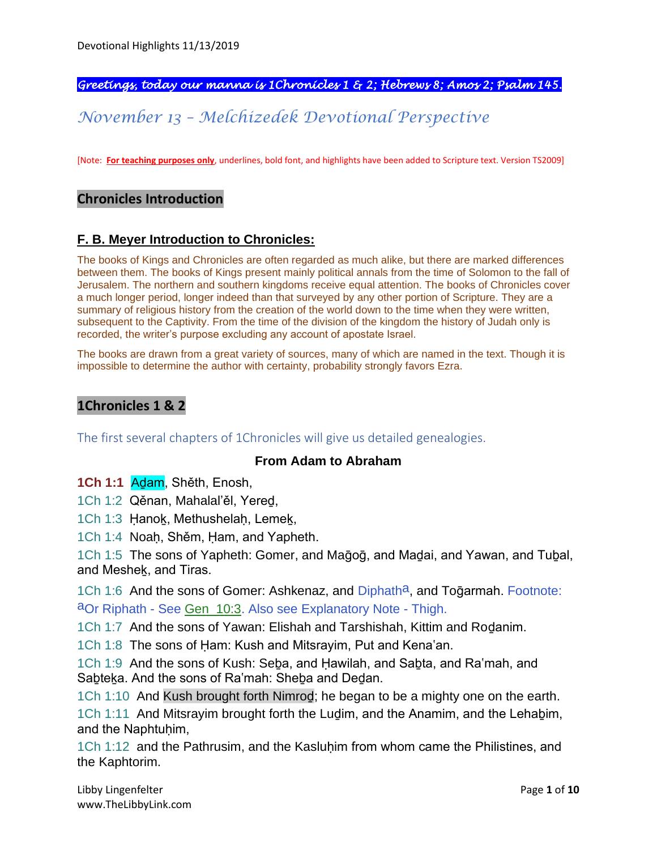*Greetings, today our manna is 1Chronicles 1 & 2; Hebrews 8; Amos 2; Psalm 145.* 

*November 13 – Melchizedek Devotional Perspective*

[Note: **For teaching purposes only**, underlines, bold font, and highlights have been added to Scripture text. Version TS2009]

#### **Chronicles Introduction**

#### **F. B. Meyer Introduction to Chronicles:**

The books of Kings and Chronicles are often regarded as much alike, but there are marked differences between them. The books of Kings present mainly political annals from the time of Solomon to the fall of Jerusalem. The northern and southern kingdoms receive equal attention. The books of Chronicles cover a much longer period, longer indeed than that surveyed by any other portion of Scripture. They are a summary of religious history from the creation of the world down to the time when they were written, subsequent to the Captivity. From the time of the division of the kingdom the history of Judah only is recorded, the writer's purpose excluding any account of apostate Israel.

The books are drawn from a great variety of sources, many of which are named in the text. Though it is impossible to determine the author with certainty, probability strongly favors Ezra.

#### **1Chronicles 1 & 2**

The first several chapters of 1Chronicles will give us detailed genealogies.

#### **From Adam to Abraham**

**1Ch 1:1** Aḏam, Shěth, Enosh,

1Ch 1:2 Qěnan, Mahalal'ěl, Yereḏ,

1Ch 1:3 Ḥanoḵ, Methushelaḥ, Lemeḵ,

1Ch 1:4 Noaḥ, Shěm, Ḥam, and Yapheth.

1Ch 1:5 The sons of Yapheth: Gomer, and Mağoğ, and Madai, and Yawan, and Tubal, and Mesheḵ, and Tiras.

1Ch 1:6 And the sons of Gomer: Ashkenaz, and Diphath<sup>a</sup>, and Togarmah. Footnote: aOr Riphath - See Gen\_10:3. Also see Explanatory Note - Thigh.

1Ch 1:7 And the sons of Yawan: Elishah and Tarshishah, Kittim and Roḏanim.

1Ch 1:8 The sons of Ḥam: Kush and Mitsrayim, Put and Kena'an.

1Ch 1:9 And the sons of Kush: Seḇa, and Ḥawilah, and Saḇta, and Ra'mah, and Sabteka. And the sons of Ra'mah: Sheba and Dedan.

1Ch 1:10 And Kush brought forth Nimroḏ; he began to be a mighty one on the earth.

1Ch 1:11 And Mitsrayim brought forth the Luḏim, and the Anamim, and the Lehaḇim, and the Naphtuhim,

1Ch 1:12 and the Pathrusim, and the Kasluhim from whom came the Philistines, and the Kaphtorim.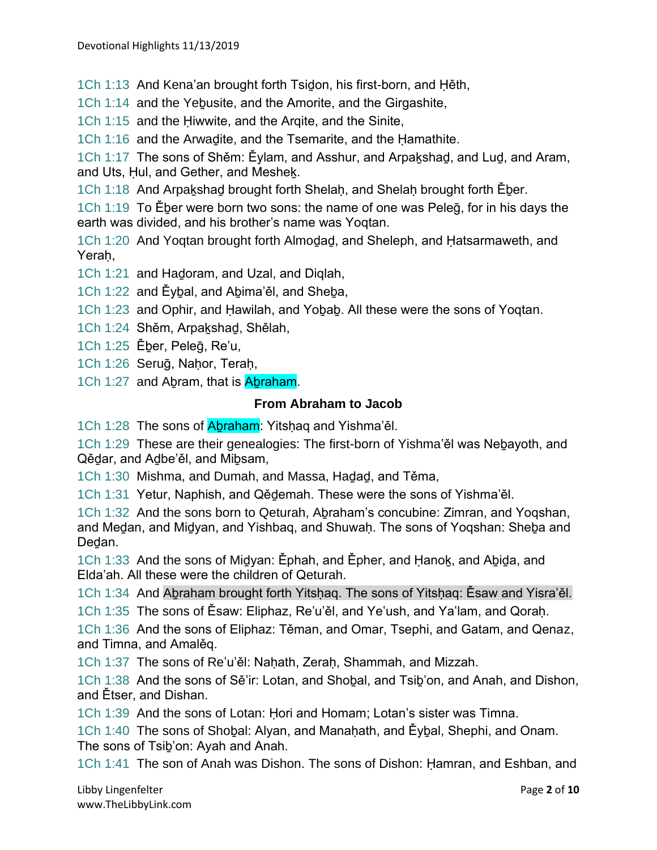1Ch 1:13 And Kena'an brought forth Tsiḏon, his first-born, and Ḥěth,

1Ch 1:14 and the Yebusite, and the Amorite, and the Girgashite,

1Ch 1:15 and the Ḥiwwite, and the Arqite, and the Sinite,

1Ch 1:16 and the Arwaḏite, and the Tsemarite, and the Ḥamathite.

1Ch 1:17 The sons of Shěm: Ěylam, and Asshur, and Arpaḵshaḏ, and Luḏ, and Aram, and Uts, Hul, and Gether, and Meshek.

1Ch 1:18 And Arpakshad brought forth Shelah, and Shelah brought forth Eber.

1Ch 1:19 To Ěḇer were born two sons: the name of one was Peleḡ, for in his days the earth was divided, and his brother's name was Yoqtan.

1Ch 1:20 And Yoqtan brought forth Almoḏaḏ, and Sheleph, and Ḥatsarmaweth, and Yeraḥ,

1Ch 1:21 and Haḏoram, and Uzal, and Diqlah,

1Ch 1:22 and Ěybal, and Abima'ěl, and Sheba,

1Ch 1:23 and Ophir, and Ḥawilah, and Yoḇaḇ. All these were the sons of Yoqtan.

1Ch 1:24 Shěm, Arpaḵshaḏ, Shělah,

1Ch 1:25 Ěḇer, Peleḡ, Re'u,

1Ch 1:26 Seruḡ, Naḥor, Teraḥ,

1Ch 1:27 and Abram, that is Abraham.

#### **From Abraham to Jacob**

1Ch 1:28 The sons of Abraham: Yitshaq and Yishma'ěl.

1Ch 1:29 These are their genealogies: The first-born of Yishma'ěl was Nebayoth, and Qědar, and Adbe'ěl, and Mibsam,

1Ch 1:30 Mishma, and Dumah, and Massa, Haḏaḏ, and Těma,

1Ch 1:31 Yetur, Naphish, and Qěḏemah. These were the sons of Yishma'ěl.

1Ch 1:32 And the sons born to Qeturah, Abraham's concubine: Zimran, and Yogshan, and Meḍan, and Midyan, and Yishbaq, and Shuwaḥ. The sons of Yoqshan: Sheba and Deḏan.

1Ch 1:33 And the sons of Miḏyan: Ěphah, and Ěpher, and Ḥanoḵ, and Aḇiḏa, and Elda'ah. All these were the children of Qeturah.

1Ch 1:34 And Aḇraham brought forth Yitsḥaq. The sons of Yitsḥaq: Ěsaw and Yisra'ěl.

1Ch 1:35 The sons of Ěsaw: Eliphaz, Re'u'ěl, and Ye'ush, and Ya'lam, and Qoraḥ.

1Ch 1:36 And the sons of Eliphaz: Těman, and Omar, Tsephi, and Gatam, and Qenaz, and Timna, and Amalěq.

1Ch 1:37 The sons of Re'u'ěl: Nahath, Zerah, Shammah, and Mizzah.

1Ch 1:38 And the sons of Sě'ir: Lotan, and Shoḇal, and Tsiḇ'on, and Anah, and Dishon, and Ětser, and Dishan.

1Ch 1:39 And the sons of Lotan: Ḥori and Homam; Lotan's sister was Timna.

1Ch 1:40 The sons of Shoḇal: Alyan, and Manaḥath, and Ěyḇal, Shephi, and Onam. The sons of Tsiḇ'on: Ayah and Anah.

1Ch 1:41 The son of Anah was Dishon. The sons of Dishon: Ḥamran, and Eshban, and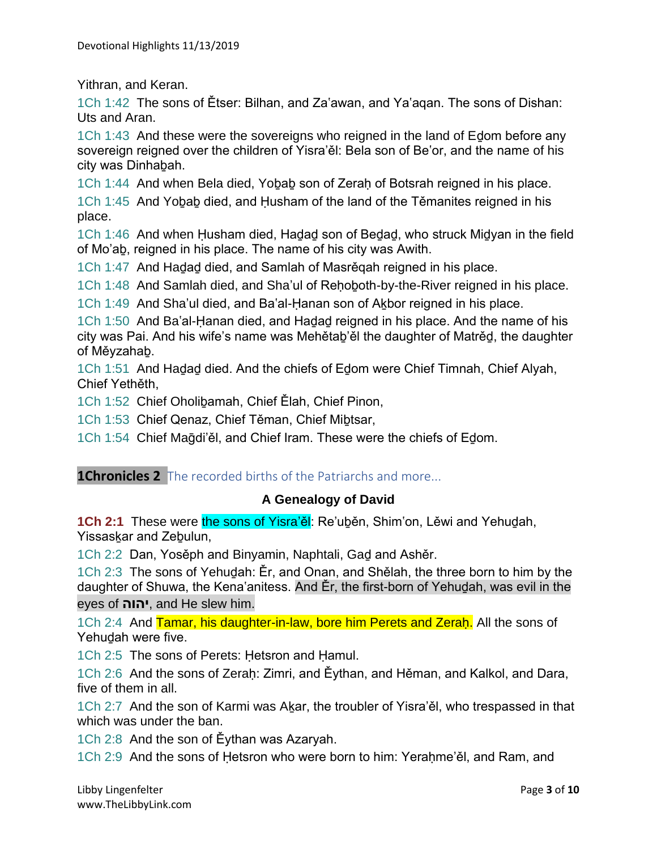Yithran, and Keran.

1Ch 1:42 The sons of Ětser: Bilhan, and Za'awan, and Ya'aqan. The sons of Dishan: Uts and Aran.

1Ch 1:43 And these were the sovereigns who reigned in the land of Eḏom before any sovereign reigned over the children of Yisra'ěl: Bela son of Be'or, and the name of his city was Dinhaḇah.

1Ch 1:44 And when Bela died, Yobab son of Zerah of Botsrah reigned in his place.

1Ch 1:45 And Yoḇaḇ died, and Ḥusham of the land of the Těmanites reigned in his place.

1Ch 1:46 And when Ḥusham died, Haḏaḏ son of Beḏaḏ, who struck Miḏyan in the field of Mo'aḇ, reigned in his place. The name of his city was Awith.

1Ch 1:47 And Hadad died, and Samlah of Masrěgah reigned in his place.

1Ch 1:48 And Samlah died, and Sha'ul of Reḥoḇoth-by-the-River reigned in his place.

1Ch 1:49 And Sha'ul died, and Ba'al-Hanan son of Akbor reigned in his place.

1Ch 1:50 And Ba'al-Ḥanan died, and Haḏaḏ reigned in his place. And the name of his city was Pai. And his wife's name was Mehětaḇ'ěl the daughter of Matrěḏ, the daughter of Měyzahaḇ.

1Ch 1:51 And Haḏaḏ died. And the chiefs of Eḏom were Chief Timnah, Chief Alyah, Chief Yethěth,

1Ch 1:52 Chief Oholiḇamah, Chief Ělah, Chief Pinon,

1Ch 1:53 Chief Qenaz, Chief Těman, Chief Mibtsar,

1Ch 1:54 Chief Maḡdi'ěl, and Chief Iram. These were the chiefs of Eḏom.

#### **1Chronicles 2** The recorded births of the Patriarchs and more...

#### **A Genealogy of David**

**1Ch 2:1** These were the sons of Yisra'ěl: Re'uḇěn, Shim'on, Lěwi and Yehuḏah, Yissaskar and Zebulun,

1Ch 2:2 Dan, Yosěph and Binyamin, Naphtali, Gaḏ and Ashěr.

1Ch 2:3 The sons of Yehuḏah: Ěr, and Onan, and Shělah, the three born to him by the daughter of Shuwa, the Kena'anitess. And Ěr, the first-born of Yehuḏah, was evil in the eyes of **יהוה**, and He slew him.

1Ch 2:4 And Tamar, his daughter-in-law, bore him Perets and Zerah. All the sons of Yehudah were five.

1Ch 2:5 The sons of Perets: Ḥetsron and Ḥamul.

1Ch 2:6 And the sons of Zeraḥ: Zimri, and Ěythan, and Hěman, and Kalkol, and Dara, five of them in all.

1Ch 2:7 And the son of Karmi was Aḵar, the troubler of Yisra'ěl, who trespassed in that which was under the ban.

1Ch 2:8 And the son of Ěythan was Azaryah.

1Ch 2:9 And the sons of Hetsron who were born to him: Yerahme'ěl, and Ram, and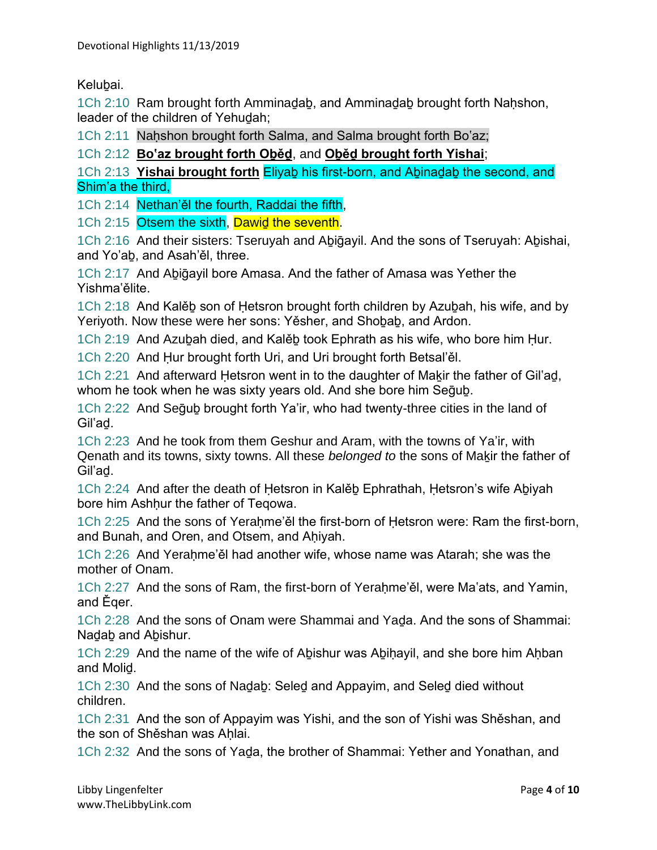Kelubai.

1Ch 2:10 Ram brought forth Amminadab, and Amminadab brought forth Nahshon, leader of the children of Yehudah;

1Ch 2:11 Nahshon brought forth Salma, and Salma brought forth Bo'az;

1Ch 2:12 **Bo'az brought forth Oḇěḏ**, and **Oḇěḏ brought forth Yishai**;

1Ch 2:13 **Yishai brought forth** Eliyaḇ his first-born, and Aḇinaḏaḇ the second, and Shim'a the third,

1Ch 2:14 Nethan'ěl the fourth, Raddai the fifth,

1Ch 2:15 Otsem the sixth, Dawid the seventh.

1Ch 2:16 And their sisters: Tseruyah and Aḇiḡayil. And the sons of Tseruyah: Aḇishai, and Yo'aḇ, and Asah'ěl, three.

1Ch 2:17 And Aḇiḡayil bore Amasa. And the father of Amasa was Yether the Yishma'ělite.

1Ch 2:18 And Kalěḇ son of Ḥetsron brought forth children by Azuḇah, his wife, and by Yeriyoth. Now these were her sons: Yěsher, and Shoḇaḇ, and Ardon.

1Ch 2:19 And Azuḇah died, and Kalěḇ took Ephrath as his wife, who bore him Ḥur.

1Ch 2:20 And Ḥur brought forth Uri, and Uri brought forth Betsal'ěl.

1Ch 2:21 And afterward Hetsron went in to the daughter of Makir the father of Gil'ad, whom he took when he was sixty years old. And she bore him Sequb.

1Ch 2:22 And Seḡuḇ brought forth Ya'ir, who had twenty-three cities in the land of Gil'aḏ.

1Ch 2:23 And he took from them Geshur and Aram, with the towns of Ya'ir, with Qenath and its towns, sixty towns. All these *belonged to* the sons of Makir the father of Gil'aḏ.

1Ch 2:24 And after the death of Ḥetsron in Kalěḇ Ephrathah, Ḥetsron's wife Aḇiyah bore him Ashhur the father of Teqowa.

1Ch 2:25 And the sons of Yeraḥme'ěl the first-born of Ḥetsron were: Ram the first-born, and Bunah, and Oren, and Otsem, and Aḥiyah.

1Ch 2:26 And Yerahme'ěl had another wife, whose name was Atarah; she was the mother of Onam.

1Ch 2:27 And the sons of Ram, the first-born of Yerahme'ěl, were Ma'ats, and Yamin, and Ěqer.

1Ch 2:28 And the sons of Onam were Shammai and Yada. And the sons of Shammai: Nadab and Abishur.

1Ch 2:29 And the name of the wife of Abishur was Abihayil, and she bore him Ahban and Moliḏ.

1Ch 2:30 And the sons of Naḏaḇ: Seleḏ and Appayim, and Seleḏ died without children.

1Ch 2:31 And the son of Appayim was Yishi, and the son of Yishi was Shěshan, and the son of Shěshan was Ahlai.

1Ch 2:32 And the sons of Yaḏa, the brother of Shammai: Yether and Yonathan, and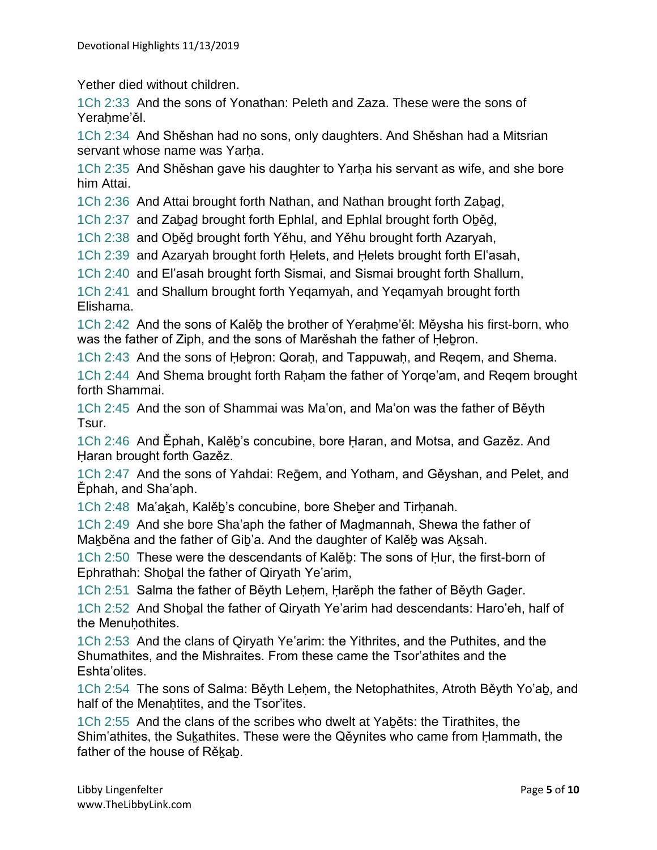Yether died without children.

1Ch 2:33 And the sons of Yonathan: Peleth and Zaza. These were the sons of Yerahme'ěl.

1Ch 2:34 And Shěshan had no sons, only daughters. And Shěshan had a Mitsrian servant whose name was Yarha.

1Ch 2:35 And Shěshan gave his daughter to Yarha his servant as wife, and she bore him Attai.

1Ch 2:36 And Attai brought forth Nathan, and Nathan brought forth Zaḇaḏ,

1Ch 2:37 and Zaḇaḏ brought forth Ephlal, and Ephlal brought forth Oḇěḏ,

1Ch 2:38 and Oḇěḏ brought forth Yěhu, and Yěhu brought forth Azaryah,

1Ch 2:39 and Azaryah brought forth Ḥelets, and Ḥelets brought forth El'asah,

1Ch 2:40 and El'asah brought forth Sismai, and Sismai brought forth Shallum,

1Ch 2:41 and Shallum brought forth Yeqamyah, and Yeqamyah brought forth Elishama.

1Ch 2:42 And the sons of Kalěḇ the brother of Yeraḥme'ěl: Měysha his first-born, who was the father of Ziph, and the sons of Marěshah the father of Hebron.

1Ch 2:43 And the sons of Ḥeḇron: Qoraḥ, and Tappuwaḥ, and Reqem, and Shema.

1Ch 2:44 And Shema brought forth Raham the father of Yorge'am, and Regem brought forth Shammai.

1Ch 2:45 And the son of Shammai was Ma'on, and Ma'on was the father of Běyth Tsur.

1Ch 2:46 And Ěphah, Kalěḇ's concubine, bore Ḥaran, and Motsa, and Gazěz. And Ḥaran brought forth Gazěz.

1Ch 2:47 And the sons of Yahdai: Reḡem, and Yotham, and Gěyshan, and Pelet, and Ěphah, and Sha'aph.

1Ch 2:48 Ma'aḵah, Kalěḇ's concubine, bore Sheḇer and Tirḥanah.

1Ch 2:49 And she bore Sha'aph the father of Maḏmannah, Shewa the father of Maḵběna and the father of Giḇ'a. And the daughter of Kalěḇ was Aḵsah.

1Ch 2:50 These were the descendants of Kalěḇ: The sons of Ḥur, the first-born of Ephrathah: Shoḇal the father of Qiryath Ye'arim,

1Ch 2:51 Salma the father of Běyth Lehem, Harěph the father of Běyth Gader.

1Ch 2:52 And Shoḇal the father of Qiryath Ye'arim had descendants: Haro'eh, half of the Menuhothites.

1Ch 2:53 And the clans of Qiryath Ye'arim: the Yithrites, and the Puthites, and the Shumathites, and the Mishraites. From these came the Tsor'athites and the Eshta'olites.

1Ch 2:54 The sons of Salma: Běyth Leḥem, the Netophathites, Atroth Běyth Yo'aḇ, and half of the Menahtites, and the Tsor'ites.

1Ch 2:55 And the clans of the scribes who dwelt at Yaḇěts: the Tirathites, the Shim'athites, the Suḵathites. These were the Qěynites who came from Ḥammath, the father of the house of Rěkab.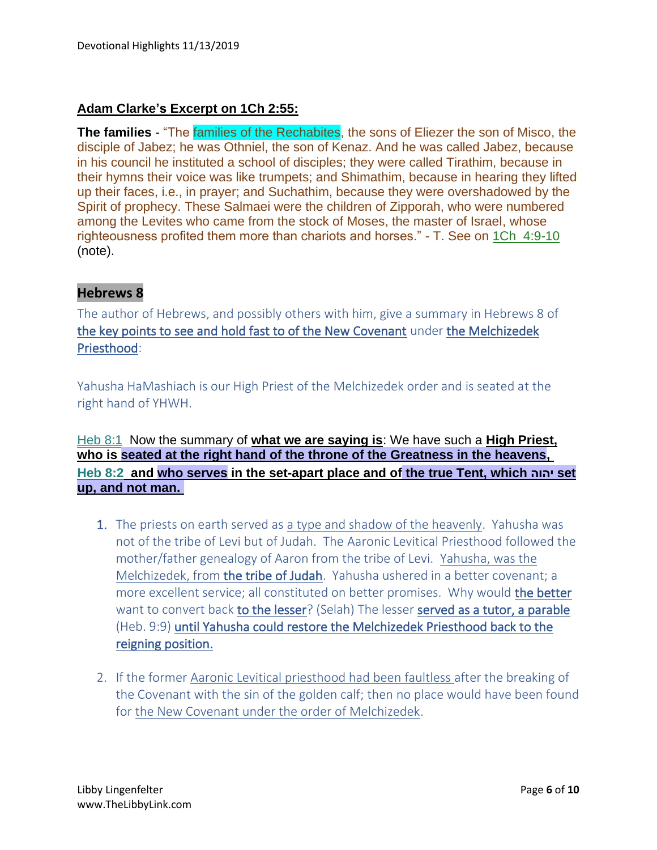## **Adam Clarke's Excerpt on 1Ch 2:55:**

**The families** - "The families of the Rechabites, the sons of Eliezer the son of Misco, the disciple of Jabez; he was Othniel, the son of Kenaz. And he was called Jabez, because in his council he instituted a school of disciples; they were called Tirathim, because in their hymns their voice was like trumpets; and Shimathim, because in hearing they lifted up their faces, i.e., in prayer; and Suchathim, because they were overshadowed by the Spirit of prophecy. These Salmaei were the children of Zipporah, who were numbered among the Levites who came from the stock of Moses, the master of Israel, whose righteousness profited them more than chariots and horses." - T. See on 1Ch\_4:9-10 (note).

## **Hebrews 8**

The author of Hebrews, and possibly others with him, give a summary in Hebrews 8 of the key points to see and hold fast to of the New Covenant under the Melchizedek Priesthood:

Yahusha HaMashiach is our High Priest of the Melchizedek order and is seated at the right hand of YHWH.

## Heb 8:1 Now the summary of **what we are saying is**: We have such a **High Priest, who is seated at the right hand of the throne of the Greatness in the heavens, Heb 8:2 and who serves in the set-apart place and of the true Tent, which יהוה set up, and not man.**

- 1. The priests on earth served as a type and shadow of the heavenly. Yahusha was not of the tribe of Levi but of Judah. The Aaronic Levitical Priesthood followed the mother/father genealogy of Aaron from the tribe of Levi. Yahusha, was the Melchizedek, from the tribe of Judah. Yahusha ushered in a better covenant; a more excellent service; all constituted on better promises. Why would the better want to convert back to the lesser? (Selah) The lesser served as a tutor, a parable (Heb. 9:9) until Yahusha could restore the Melchizedek Priesthood back to the reigning position.
- 2. If the former Aaronic Levitical priesthood had been faultless after the breaking of the Covenant with the sin of the golden calf; then no place would have been found for the New Covenant under the order of Melchizedek.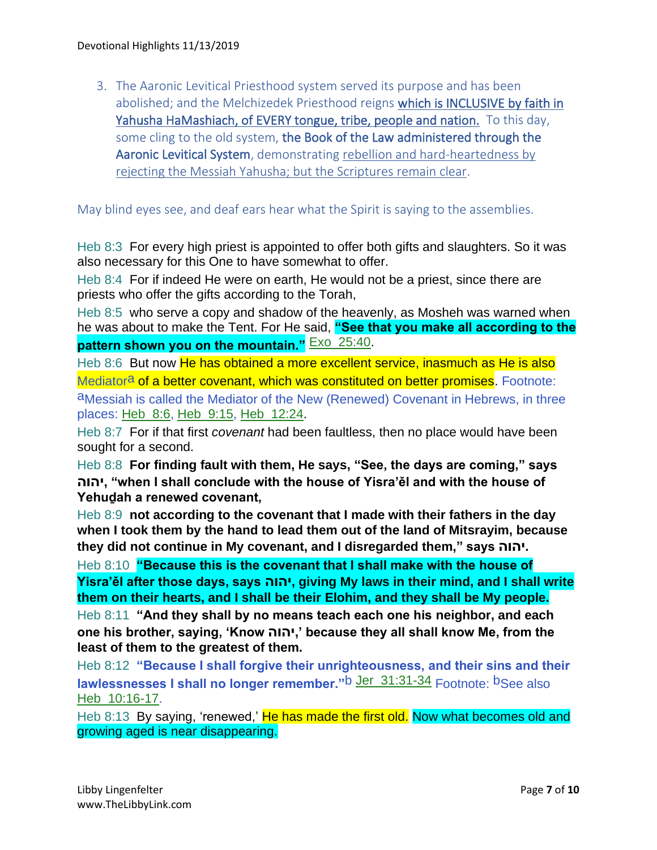3. The Aaronic Levitical Priesthood system served its purpose and has been abolished; and the Melchizedek Priesthood reigns which is INCLUSIVE by faith in Yahusha HaMashiach, of EVERY tongue, tribe, people and nation. To this day, some cling to the old system, the Book of the Law administered through the Aaronic Levitical System, demonstrating rebellion and hard-heartedness by rejecting the Messiah Yahusha; but the Scriptures remain clear.

#### May blind eyes see, and deaf ears hear what the Spirit is saying to the assemblies.

Heb 8:3 For every high priest is appointed to offer both gifts and slaughters. So it was also necessary for this One to have somewhat to offer.

Heb 8:4 For if indeed He were on earth, He would not be a priest, since there are priests who offer the gifts according to the Torah,

Heb 8:5 who serve a copy and shadow of the heavenly, as Mosheh was warned when he was about to make the Tent. For He said, **"See that you make all according to the pattern shown you on the mountain."** Exo\_25:40.

Heb 8:6 But now He has obtained a more excellent service, inasmuch as He is also Mediator<sup>a</sup> of a better covenant, which was constituted on better promises. Footnote:

aMessiah is called the Mediator of the New (Renewed) Covenant in Hebrews, in three places: Heb\_8:6, Heb\_9:15, Heb\_12:24.

Heb 8:7 For if that first *covenant* had been faultless, then no place would have been sought for a second.

Heb 8:8 **For finding fault with them, He says, "See, the days are coming," says יהוה," when I shall conclude with the house of Yisra'ěl and with the house of Yehuḏah a renewed covenant,**

Heb 8:9 **not according to the covenant that I made with their fathers in the day when I took them by the hand to lead them out of the land of Mitsrayim, because they did not continue in My covenant, and I disregarded them," says יהוה.**

Heb 8:10 **"Because this is the covenant that I shall make with the house of Yisra'ěl after those days, says יהוה, giving My laws in their mind, and I shall write them on their hearts, and I shall be their Elohim, and they shall be My people.**

Heb 8:11 **"And they shall by no means teach each one his neighbor, and each one his brother, saying, 'Know יהוה, 'because they all shall know Me, from the least of them to the greatest of them.**

Heb 8:12 **"Because I shall forgive their unrighteousness, and their sins and their lawlessnesses I shall no longer remember."**b Jer\_31:31-34 Footnote: bSee also Heb 10:16-17.

Heb 8:13 By saying, 'renewed,' He has made the first old. Now what becomes old and growing aged is near disappearing.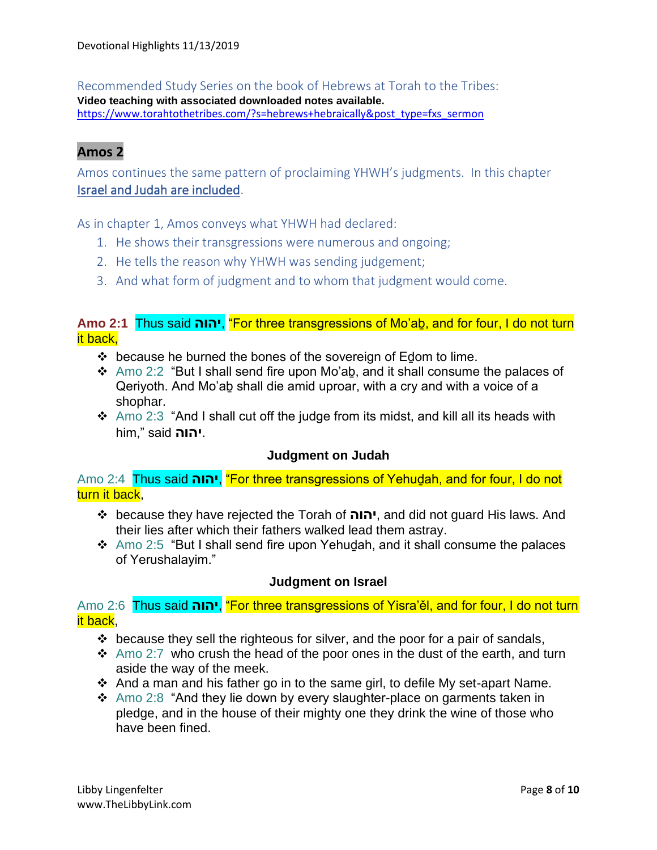Recommended Study Series on the book of Hebrews at Torah to the Tribes: **Video teaching with associated downloaded notes available.** [https://www.torahtothetribes.com/?s=hebrews+hebraically&post\\_type=fxs\\_sermon](https://www.torahtothetribes.com/?s=hebrews+hebraically&post_type=fxs_sermon)

## **Amos 2**

Amos continues the same pattern of proclaiming YHWH's judgments. In this chapter Israel and Judah are included.

As in chapter 1, Amos conveys what YHWH had declared:

- 1. He shows their transgressions were numerous and ongoing;
- 2. He tells the reason why YHWH was sending judgement;
- 3. And what form of judgment and to whom that judgment would come.

## **Amo 2:1** Thus said **יהוה**," For three transgressions of Mo'aḇ, and for four, I do not turn it back,

- $\div$  because he burned the bones of the sovereign of Edom to lime.
- ❖ Amo 2:2 "But I shall send fire upon Mo'aḇ, and it shall consume the palaces of Qeriyoth. And Mo'aḇ shall die amid uproar, with a cry and with a voice of a shophar.
- ❖ Amo 2:3 "And I shall cut off the judge from its midst, and kill all its heads with him," said **יהוה**.

#### **Judgment on Judah**

Amo 2:4 Thus said **יהוה**," For three transgressions of Yehuḏah, and for four, I do not turn it back.

- ❖ because they have rejected the Torah of **יהוה**, and did not guard His laws. And their lies after which their fathers walked lead them astray.
- ❖ Amo 2:5 "But I shall send fire upon Yehuḏah, and it shall consume the palaces of Yerushalayim."

#### **Judgment on Israel**

Amo 2:6 Thus said יהוה, "For three transgressions of Yisra'el, and for four, I do not turn it back,

- ❖ because they sell the righteous for silver, and the poor for a pair of sandals,
- $\cdot$  Amo 2:7 who crush the head of the poor ones in the dust of the earth, and turn aside the way of the meek.
- ❖ And a man and his father go in to the same girl, to defile My set-apart Name.
- ❖ Amo 2:8 "And they lie down by every slaughter-place on garments taken in pledge, and in the house of their mighty one they drink the wine of those who have been fined.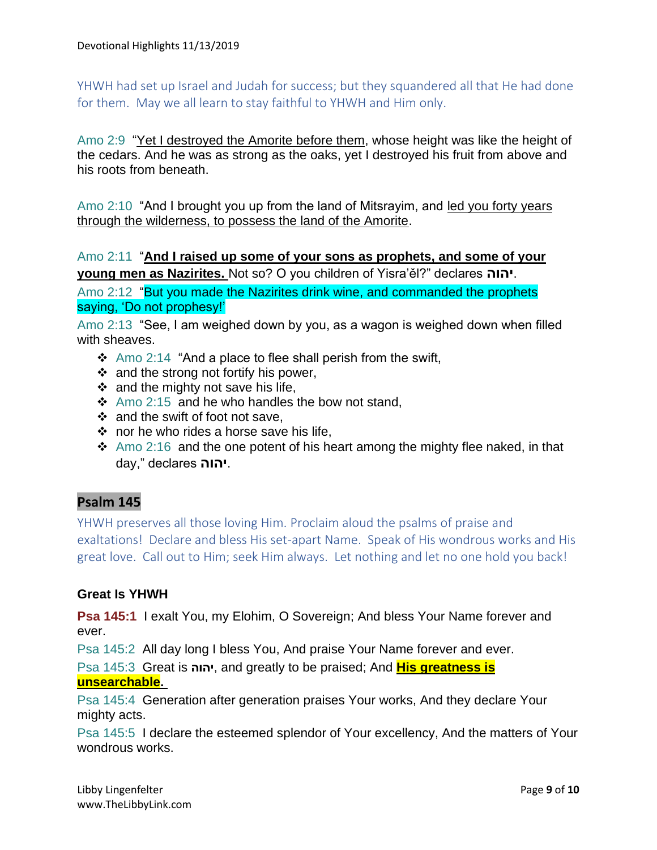YHWH had set up Israel and Judah for success; but they squandered all that He had done for them. May we all learn to stay faithful to YHWH and Him only.

Amo 2:9 "Yet I destroyed the Amorite before them, whose height was like the height of the cedars. And he was as strong as the oaks, yet I destroyed his fruit from above and his roots from beneath.

Amo 2:10 "And I brought you up from the land of Mitsrayim, and led you forty years through the wilderness, to possess the land of the Amorite.

Amo 2:11 "**And I raised up some of your sons as prophets, and some of your young men as Nazirites.** Not so? O you children of Yisra'ěl?" declares **יהוה**.

Amo 2:12 "But you made the Nazirites drink wine, and commanded the prophets saying, 'Do not prophesy!'

Amo 2:13 "See, I am weighed down by you, as a wagon is weighed down when filled with sheaves.

- ❖ Amo 2:14 "And a place to flee shall perish from the swift,
- ❖ and the strong not fortify his power,
- $\div$  and the mighty not save his life,
- ❖ Amo 2:15 and he who handles the bow not stand,
- ❖ and the swift of foot not save,
- ❖ nor he who rides a horse save his life,
- ❖ Amo 2:16 and the one potent of his heart among the mighty flee naked, in that day," declares **יהוה**.

## **Psalm 145**

YHWH preserves all those loving Him. Proclaim aloud the psalms of praise and exaltations! Declare and bless His set-apart Name. Speak of His wondrous works and His great love. Call out to Him; seek Him always. Let nothing and let no one hold you back!

#### **Great Is YHWH**

**Psa 145:1** I exalt You, my Elohim, O Sovereign; And bless Your Name forever and ever.

Psa 145:2 All day long I bless You, And praise Your Name forever and ever.

Psa 145:3 Great is **יהוה**, and greatly to be praised; And **His greatness is** 

#### **unsearchable.**

Psa 145:4 Generation after generation praises Your works, And they declare Your mighty acts.

Psa 145:5 I declare the esteemed splendor of Your excellency, And the matters of Your wondrous works.